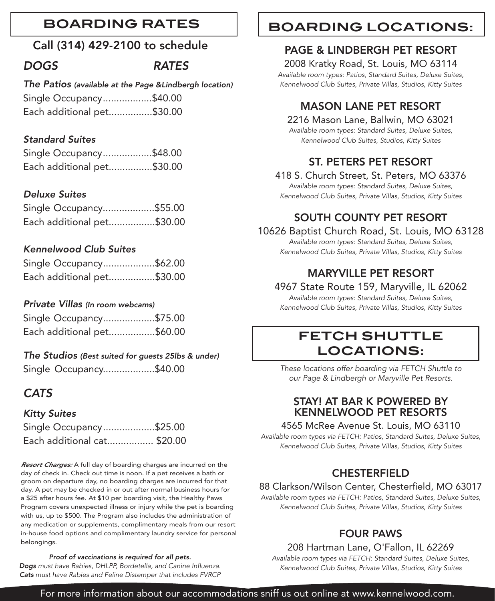# **BOARDING RATES**

# Call (314) 429-2100 to schedule

# *DOGS RATES*

*The Patios (available at the Page &Lindbergh location)* Single Occupancy..................\$40.00 Each additional pet................\$30.00

# *Standard Suites*

| Single Occupancy\$48.00    |  |
|----------------------------|--|
| Each additional pet\$30.00 |  |

# *Deluxe Suites*

| Single Occupancy\$55.00    |
|----------------------------|
| Each additional pet\$30.00 |

### *Kennelwood Club Suites*

| Single Occupancy\$62.00    |  |
|----------------------------|--|
| Each additional pet\$30.00 |  |

# *Private Villas (In room webcams)*

| Single Occupancy\$75.00    |
|----------------------------|
| Each additional pet\$60.00 |

### *The Studios (Best suited for guests 25lbs & under)*

Single Occupancy...................\$40.00

# *CATS*

### *Kitty Suites*

| Single Occupancy\$25.00     |  |
|-----------------------------|--|
| Each additional cat \$20.00 |  |

*Resort Charges:* A full day of boarding charges are incurred on the day of check in. Check out time is noon. If a pet receives a bath or groom on departure day, no boarding charges are incurred for that day. A pet may be checked in or out after normal business hours for a \$25 after hours fee. At \$10 per boarding visit, the Healthy Paws Program covers unexpected illness or injury while the pet is boarding with us, up to \$500. The Program also includes the administration of any medication or supplements, complimentary meals from our resort in-house food options and complimentary laundry service for personal belongings.

#### *Proof of vaccinations is required for all pets.*

*Dogs must have Rabies, DHLPP, Bordetella, and Canine Influenza. Cats must have Rabies and Feline Distemper that includes FVRCP*

# **BOARDING LOCATIONS:**

# PAGE & LINDBERGH PET RESORT

2008 Kratky Road, St. Louis, MO 63114

*Available room types: Patios, Standard Suites, Deluxe Suites, Kennelwood Club Suites, Private Villas, Studios, Kitty Suites*

# MASON LANE PET RESORT

2216 Mason Lane, Ballwin, MO 63021 *Available room types: Standard Suites, Deluxe Suites, Kennelwood Club Suites, Studios, Kitty Suites*

# ST. PETERS PET RESORT

418 S. Church Street, St. Peters, MO 63376 *Available room types: Standard Suites, Deluxe Suites, Kennelwood Club Suites, Private Villas, Studios, Kitty Suites*

# SOUTH COUNTY PET RESORT

10626 Baptist Church Road, St. Louis, MO 63128

*Available room types: Standard Suites, Deluxe Suites, Kennelwood Club Suites, Private Villas, Studios, Kitty Suites*

# MARYVILLE PET RESORT

### 4967 State Route 159, Maryville, IL 62062

*Available room types: Standard Suites, Deluxe Suites, Kennelwood Club Suites, Private Villas, Studios, Kitty Suites*

# **FETCH SHUTTLE LOCATIONS:**

*These locations offer boarding via FETCH Shuttle to our Page & Lindbergh or Maryville Pet Resorts.* 

# STAY! AT BAR K POWERED BY KENNELWOOD PET RESORTS

### 4565 McRee Avenue St. Louis, MO 63110

*Available room types via FETCH: Patios, Standard Suites, Deluxe Suites, Kennelwood Club Suites, Private Villas, Studios, Kitty Suites*

# **CHESTERFIELD**

### 88 Clarkson/Wilson Center, Chesterfield, MO 63017

*Available room types via FETCH: Patios, Standard Suites, Deluxe Suites, Kennelwood Club Suites, Private Villas, Studios, Kitty Suites*

# FOUR PAWS

### 208 Hartman Lane, O'Fallon, IL 62269

*Available room types via FETCH: Standard Suites, Deluxe Suites, Kennelwood Club Suites, Private Villas, Studios, Kitty Suites*

For more information about our accommodations sniff us out online at www.kennelwood.com.